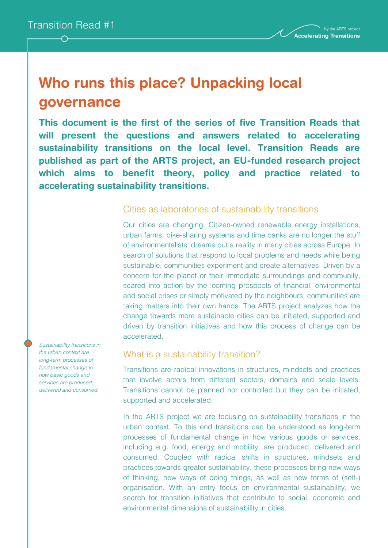# **Who runs this place? Unpacking local governance**

**This document is the first of the series of five Transition Reads that will present the questions and answers related to accelerating sustainability transitions on the local level. Transition Reads are published as part of the ARTS project, an EU-funded research project which aims to benefit theory, policy and practice related to accelerating sustainability transitions.**

## Cities as laboratories of sustainability transitions

Our cities are changing. Citizen-owned renewable energy installations, urban farms, bike-sharing systems and time banks are no longer the stuff of environmentalists' dreams but a reality in many cities across Europe. In search of solutions that respond to local problems and needs while being sustainable, communities experiment and create alternatives. Driven by a concern for the planet or their immediate surroundings and community, scared into action by the looming prospects of financial, environmental and social crises or simply motivated by the neighbours, communities are taking matters into their own hands. The ARTS project analyzes how the change towards more sustainable cities can be initiated, supported and driven by transition initiatives and how this process of change can be accelerated.

# What is a sustainability transition?

Transitions are radical innovations in structures, mindsets and practices that involve actors from different sectors, domains and scale levels. Transitions cannot be planned nor controlled but they can be initiated, supported and accelerated.

In the ARTS project we are focusing on sustainability transitions in the urban context. To this end transitions can be understood as long-term processes of fundamental change in how various goods or services, including e.g. food, energy and mobility, are produced, delivered and consumed. Coupled with radical shifts in structures, mindsets and practices towards greater sustainability, these processes bring new ways of thinking, new ways of doing things, as well as new forms of (self-) organisation. With an entry focus on environmental sustainability, we search for transition initiatives that contribute to social, economic and environmental dimensions of sustainability in cities.

*Sustainability transitions in the urban context are long-term processes of fundamental change in how basic goods and services are produced, delivered and consumed.*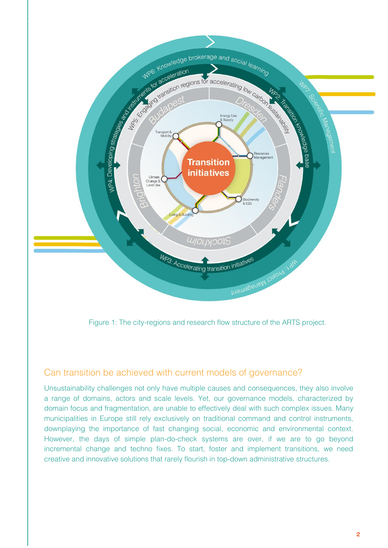

Figure 1: The city-regions and research flow structure of the ARTS project.

# Can transition be achieved with current models of governance?

Unsustainability challenges not only have multiple causes and consequences, they also involve a range of domains, actors and scale levels. Yet, our governance models, characterized by domain focus and fragmentation, are unable to effectively deal with such complex issues. Many municipalities in Europe still rely exclusively on traditional command and control instruments, downplaying the importance of fast changing social, economic and environmental context. However, the days of simple plan-do-check systems are over, if we are to go beyond incremental change and techno fixes. To start, foster and implement transitions, we need creative and innovative solutions that rarely flourish in top-down administrative structures.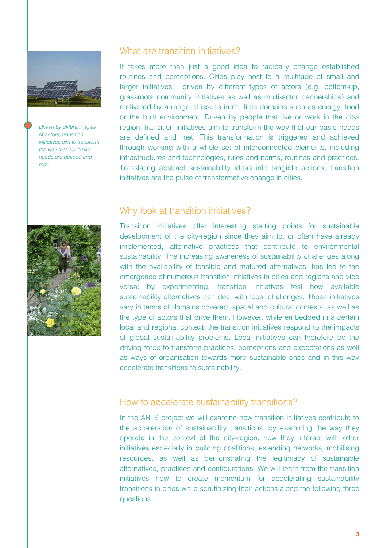

*Driven by different types of actors, transition initiatives aim to transform the way that our basic needs are defined and met.*

## What are transition initiatives?

It takes more than just a good idea to radically change established routines and perceptions. Cities play host to a multitude of small and larger initiatives, driven by different types of actors (e.g. bottom-up, grassroots community initiatives as well as multi-actor partnerships) and motivated by a range of issues in multiple domains such as energy, food or the built environment. Driven by people that live or work in the cityregion, transition initiatives aim to transform the way that our basic needs are defined and met. This transformation is triggered and achieved through working with a whole set of interconnected elements, including infrastructures and technologies, rules and norms, routines and practices. Translating abstract sustainability ideas into tangible actions, transition initiatives are the pulse of transformative change in cities.



## Why look at transition initiatives?

Transition initiatives offer interesting starting points for sustainable development of the city-region since they aim to, or often have already implemented, alternative practices that contribute to environmental sustainability. The increasing awareness of sustainability challenges along with the availability of feasible and matured alternatives, has led to the emergence of numerous transition initiatives in cities and regions and vice versa: by experimenting, transition initiatives test how available sustainability alternatives can deal with local challenges. Those initiatives vary in terms of domains covered, spatial and cultural contexts, as well as the type of actors that drive them. However, while embedded in a certain local and regional context, the transition initiatives respond to the impacts of global sustainability problems. Local initiatives can therefore be the driving force to transform practices, perceptions and expectations as well as ways of organisation towards more sustainable ones and in this way accelerate transitions to sustainability.

#### How to accelerate sustainability transitions?

In the ARTS project we will examine how transition initiatives contribute to the acceleration of sustainability transitions, by examining the way they operate in the context of the city-region, how they interact with other initiatives especially in building coalitions, extending networks, mobilising resources, as well as demonstrating the legitimacy of sustainable alternatives, practices and configurations. We will learn from the transition initiatives how to create momentum for accelerating sustainability transitions in cities while scrutinizing their actions along the following three questions: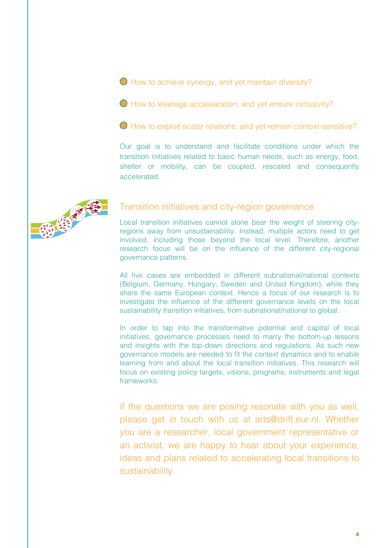● How to achieve synergy, and yet maintain diversity?

How to leverage accelearation, and yet ensure inclusivity?

How to exploit scalar relations, and yet remain context-sensitive?

Our goal is to understand and facilitate conditions under which the transition initiatives related to basic human needs, such as energy, food, shelter or mobility, can be coupled, rescaled and consequently accelerated.



### Transition initiatives and city-region governance

Local transition initiatives cannot alone bear the weight of steering cityregions away from unsustainability. Instead, multiple actors need to get involved, including those beyond the local level. Therefore, another research focus will be on the influence of the different city-regional governance patterns.

All five cases are embedded in different subnational/national contexts (Belgium, Germany, Hungary, Sweden and United Kingdom), while they share the same European context. Hence a focus of our research is to investigate the influence of the different governance levels on the local sustainability transition initiatives, from subnational/national to global.

In order to tap into the transformative potential and capital of local initiatives, governance processes need to marry the bottom-up lessons and insights with the top-down directions and regulations. As such new governance models are needed to fit the context dynamics and to enable learning from and about the local transition initiatives. This research will focus on existing policy targets, visions, programs, instruments and legal frameworks.

If the questions we are posing resonate with you as well, please get in touch with us at arts@drift.eur.nl. Whether you are a researcher, local government representative or an activist, we are happy to hear about your experience, ideas and plans related to accelerating local transitions to sustainability.